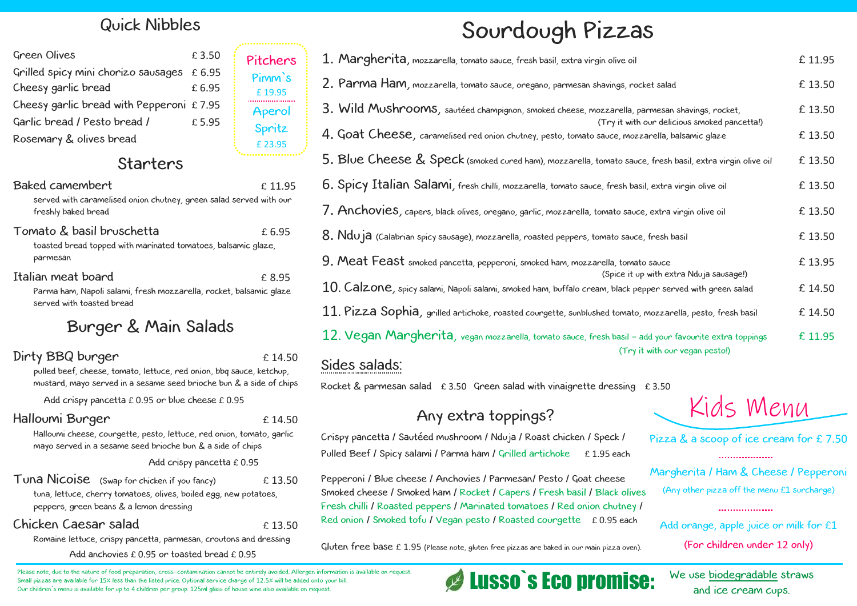## Sourdough Pizzas

Crispy pancetta / Sautéed mushroom / Nduja / Roast chicken / Speck / Pulled Beef / Spicy salami / Parma ham / Grilled artichoke £ 1.95 each

## Any extra toppings?

Tuna Nicoise (Swap for chicken if you fancy)  $£ 13.50$ tuna, lettuce, cherry tomatoes, olives, boiled egg, new potatoes, peppers, green beans & a lemon dressing

Romaine lettuce, crispy pancetta, parmesan, croutons and dressing Add anchovies £ 0.95 or toasted bread £ 0.95

## Quick Nibbles

Margherita / Ham & Cheese / Pepperoni Pepperoni / Blue cheese / Anchovies / Parmesan/ Pesto / Goat cheese (Any other pizza off the menu £1 surcharge) Smoked cheese / Smoked ham / Rocket / Capers / Fresh basil / Black olives . Fresh chilli / Roasted peppers / Marinated tomatoes / Red onion chutney / **...................** Red onion / Smoked tofu / Vegan pesto / Roasted courgette £ 0.95 each

Gluten free base £ 1.95 (Please note, gluten free pizzas are baked in our main pizza oven).

| <b>Green Olives</b>                         | £3.50 |
|---------------------------------------------|-------|
| Grilled spicy mini chorizo sausages £ 6.95  |       |
| Cheesy garlic bread                         | £6.95 |
| Cheesy garlic bread with Pepperoni $£ 7.95$ |       |
| Garlic bread / Pesto bread /                | £5.95 |
| Rosemary & olives bread                     |       |

| 1. Margherita, mozzarella, tomato sauce, fresh basil, extra virgin olive oil                                                                   | £ 11.95 |
|------------------------------------------------------------------------------------------------------------------------------------------------|---------|
| 2. Parma Ham, mozzarella, tomato sauce, oregano, parmesan shavings, rocket salad                                                               | £ 13.50 |
| 3. Wild Mushrooms, sautéed champignon, smoked cheese, mozzarella, parmesan shavings, rocket,                                                   | £ 13.50 |
| (Try it with our delicious smoked pancetta!)<br>4. Goat Cheese, caramelised red onion chutney, pesto, tomato sauce, mozzarella, balsamic glaze | £ 13.50 |
| $5.$ Blue Cheese $\&$ Speck (smoked cured ham), mozzarella, tomato sauce, fresh basil, extra virgin olive oil                                  | £ 13.50 |
| 6. Spicy Italian Salami, fresh chilli, mozzarella, tomato sauce, fresh basil, extra virgin olive oil                                           | £ 13.50 |
| 7. Anchovies, capers, black olives, oregano, garlic, mozzarella, tomato sauce, extra virgin olive oil                                          | £ 13.50 |
| $8.$ $Ndu$ $a$ (Calabrian spicy sausage), mozzarella, roasted peppers, tomato sauce, fresh basil                                               | £ 13.50 |
| 9. Meat Feast smoked pancetta, pepperoni, smoked ham, mozzarella, tomato sauce<br>(Spice it up with extra Nduja sausage!)                      | £ 13.95 |
| $10\!\!.$ $\sf Calzone$ , spicy salami, Napoli salami, smoked ham, buffalo cream, black pepper served with green salad                         | £ 14.50 |
| $11. \, \text{Pizza}\,$ SOphia, grilled artichoke, roasted courgette, sunblushed tomato, mozzarella, pesto, fresh basil                        | £ 14.50 |
| 12. Vegan Margherita, vegan mozzarella, tomato sauce, fresh basil - add your favourite extra toppings<br>(Try it with our vegan pesto!)        | £ 11.95 |
| Sides salads:                                                                                                                                  |         |
|                                                                                                                                                |         |

## Starters

Rocket & parmesan salad  $\pm 3.50$  Green salad with vinaigrette dressing  $\pm 3.50$ 

#### Baked camembert 11.95

served with caramelised onion chutney, green salad served with our freshly baked bread

### Tomato & basil bruschetta £ 6.95

toasted bread topped with marinated tomatoes, balsamic glaze, parmesan

### Italian meat board example to the state of the state of the state of the state of the state of the state of the state of the state of the state of the state of the state of the state of the state of the state of the state

Parma ham, Napoli salami, fresh mozzarella, rocket, balsamic glaze served with toasted bread

## Burger & Main Salads

### Dirty BBQ burger  $£ 14.50$

pulled beef, cheese, tomato, lettuce, red onion, bbq sauce, ketchup, mustard, mayo served in a sesame seed brioche bun & a side of chips

Add crispy pancetta  $£ 0.95$  or blue cheese  $£ 0.95$ 

### Halloumi Burger **E** 14.50

Halloumi cheese, courgette, pesto, lettuce, red onion, tomato, garlic mayo served in a sesame seed brioche bun & a side of chips

#### Add crispy pancetta £ 0.95

### Chicken Caesar salad £ 13.50

#### Please note, due to the nature of food preparation, cross-contamination cannot be entirely avoided. Allergen information is available on request. Small pizzas are available for 15% less than the listed price. Optional service charge of 12.5% will be added onto your bill. Our children`s menu is available for up to 4 children per group. 125ml glass of house wine also available on request.

# Kids Menu

Pizza & a scoop of ice cream for £ 7.50

...................

Add orange, apple juice or milk for £1 (For children under 12 only)

We use biodegradable straws

## and ice cream cups. Lusso`s Eco promise:

Pitchers

Pimm`s

£ 19.95

Aperol

Spritz

£ 23.95